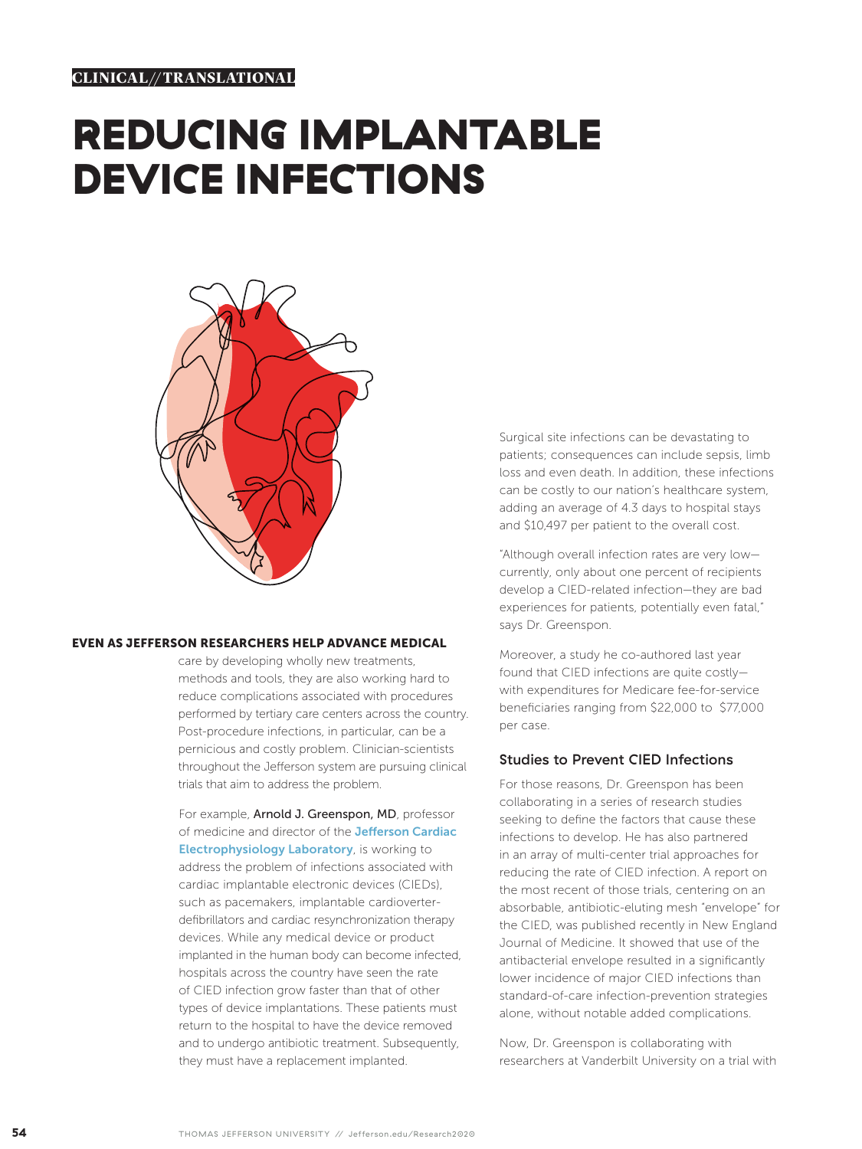## REDUCING IMPLANTABLE DEVICE INFECTIONS



## EVEN AS JEFFERSON RESEARCHERS HELP ADVANCE MEDICAL

care by developing wholly new treatments, methods and tools, they are also working hard to reduce complications associated with procedures performed by tertiary care centers across the country. Post-procedure infections, in particular, can be a pernicious and costly problem. Clinician-scientists throughout the Jefferson system are pursuing clinical trials that aim to address the problem.

For example, Arnold J. Greenspon, MD, professor of medicine and director of the Jefferson Cardiac **Electrophysiology Laboratory**, is working to address the problem of infections associated with cardiac implantable electronic devices (CIEDs), such as pacemakers, implantable cardioverterdefibrillators and cardiac resynchronization therapy devices. While any medical device or product implanted in the human body can become infected, hospitals across the country have seen the rate of CIED infection grow faster than that of other types of device implantations. These patients must return to the hospital to have the device removed and to undergo antibiotic treatment. Subsequently, they must have a replacement implanted.

Surgical site infections can be devastating to patients; consequences can include sepsis, limb loss and even death. In addition, these infections can be costly to our nation's healthcare system, adding an average of 4.3 days to hospital stays and \$10,497 per patient to the overall cost.

"Although overall infection rates are very low currently, only about one percent of recipients develop a CIED-related infection—they are bad experiences for patients, potentially even fatal," says Dr. Greenspon.

Moreover, a study he co-authored last year found that CIED infections are quite costly with expenditures for Medicare fee-for-service beneficiaries ranging from \$22,000 to \$77,000 per case.

## Studies to Prevent CIED Infections

For those reasons, Dr. Greenspon has been collaborating in a series of research studies seeking to define the factors that cause these infections to develop. He has also partnered in an array of multi-center trial approaches for reducing the rate of CIED infection. A report on the most recent of those trials, centering on an absorbable, antibiotic-eluting mesh "envelope" for the CIED, was published recently in New England Journal of Medicine. It showed that use of the antibacterial envelope resulted in a significantly lower incidence of major CIED infections than standard-of-care infection-prevention strategies alone, without notable added complications.

Now, Dr. Greenspon is collaborating with researchers at Vanderbilt University on a trial with